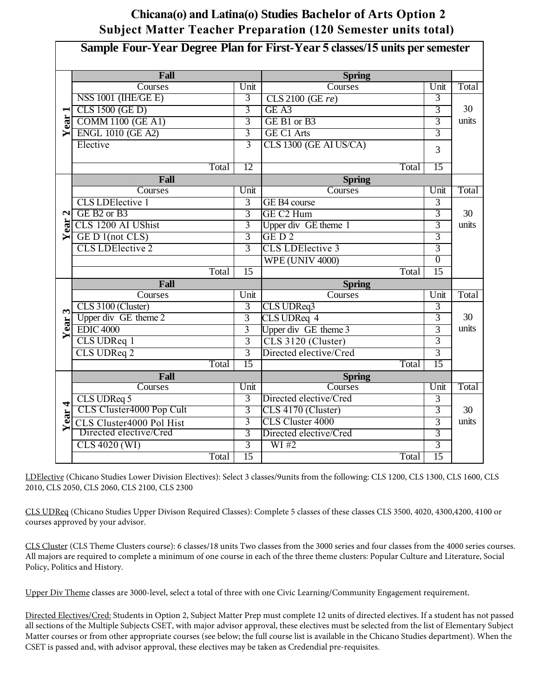## **Chicana(o) and Latina(o) Studies Bachelor of Arts Option 2 Subject Matter Teacher Preparation (120 Semester units total)**

| Sample Four-Year Degree Plan for First-Year 5 classes/15 units per semester |                                     |                 |                         |                 |       |  |  |  |  |
|-----------------------------------------------------------------------------|-------------------------------------|-----------------|-------------------------|-----------------|-------|--|--|--|--|
|                                                                             | Fall                                |                 | <b>Spring</b>           |                 |       |  |  |  |  |
|                                                                             | Courses                             | Unit            | Courses                 | Unit            | Total |  |  |  |  |
|                                                                             | $NSS 1001$ (IHE/GE E)               | 3               | CLS 2100 (GE re)        | $\overline{3}$  |       |  |  |  |  |
| $\blacksquare$                                                              | CLS 1500 (GE D)                     | 3               | GE A3                   | $\overline{3}$  | 30    |  |  |  |  |
| ear                                                                         | <b>COMM 1100 (GE A1)</b>            | $\overline{3}$  | GE B1 or B3             | $\overline{3}$  | units |  |  |  |  |
| ⋝                                                                           | <b>ENGL 1010 (GE A2)</b>            | $\overline{3}$  | <b>GE C1 Arts</b>       | 3               |       |  |  |  |  |
|                                                                             | Elective                            | 3               | CLS 1300 (GE AI US/CA)  | 3               |       |  |  |  |  |
|                                                                             |                                     |                 |                         |                 |       |  |  |  |  |
|                                                                             | Total                               | 12              | Total                   | 15              |       |  |  |  |  |
|                                                                             | Fall                                |                 | <b>Spring</b>           |                 |       |  |  |  |  |
| $\mathbf{a}$                                                                | Courses                             | Unit            | Courses                 | Unit            | Total |  |  |  |  |
|                                                                             | <b>CLS LDElective 1</b>             | $\overline{3}$  | GE B4 course            | $\overline{3}$  |       |  |  |  |  |
|                                                                             | GE B <sub>2</sub> or B <sub>3</sub> | 3               | GE C <sub>2</sub> Hum   | 3               | 30    |  |  |  |  |
| ear                                                                         | CLS 1200 AI UShist                  | $\overline{3}$  | Upper div GE theme 1    | $\overline{3}$  | units |  |  |  |  |
| ⋝                                                                           | GE D 1(not CLS)                     | 3               | GED <sub>2</sub>        | 3               |       |  |  |  |  |
|                                                                             | <b>CLS LDElective 2</b>             | $\overline{3}$  | <b>CLS LDElective 3</b> | $\overline{3}$  |       |  |  |  |  |
|                                                                             |                                     |                 | <b>WPE (UNIV 4000)</b>  | $\overline{0}$  |       |  |  |  |  |
|                                                                             | Total                               | $\overline{15}$ | Total                   | $\overline{15}$ |       |  |  |  |  |
|                                                                             | Fall                                |                 | <b>Spring</b>           |                 |       |  |  |  |  |
|                                                                             | Courses                             | Unit            | Courses                 | Unit            | Total |  |  |  |  |
| 3                                                                           | CLS 3100 (Cluster)                  | $\overline{3}$  | CLS UDReq3              | $\overline{3}$  |       |  |  |  |  |
| ear                                                                         | Upper div GE theme 2                | $\overline{3}$  | CLS UDReq 4             | $\overline{3}$  | 30    |  |  |  |  |
| ≻                                                                           | <b>EDIC 4000</b>                    | $\overline{3}$  | Upper div GE theme 3    | $\overline{3}$  | units |  |  |  |  |
|                                                                             | CLS UDReq 1                         | $\overline{3}$  | CLS 3120 (Cluster)      | $\overline{3}$  |       |  |  |  |  |
|                                                                             | CLS UDReq 2                         | $\overline{3}$  | Directed elective/Cred  | $\overline{3}$  |       |  |  |  |  |
|                                                                             | Total                               | 15              | Total                   | 15              |       |  |  |  |  |
|                                                                             | Fall                                |                 | <b>Spring</b>           |                 |       |  |  |  |  |
|                                                                             | Courses                             | Unit            | Courses                 | Unit            | Total |  |  |  |  |
| 4                                                                           | CLS UDReq 5                         | $\overline{3}$  | Directed elective/Cred  | 3               |       |  |  |  |  |
| ear.                                                                        | CLS Cluster4000 Pop Cult            | $\overline{3}$  | CLS 4170 (Cluster)      | 3               | 30    |  |  |  |  |
| ➤                                                                           | CLS Cluster4000 Pol Hist            | 3               | <b>CLS Cluster 4000</b> | $\overline{3}$  | units |  |  |  |  |
|                                                                             | Directed elective/Cred              | 3               | Directed elective/Cred  | 3               |       |  |  |  |  |
|                                                                             | CLS 4020 (WI)                       | $\overline{3}$  | WI#2                    | $\overline{3}$  |       |  |  |  |  |
|                                                                             | <b>Total</b>                        | 15              | Total                   | 15              |       |  |  |  |  |

LDElective (Chicano Studies Lower Division Electives): Select 3 classes/9units from the following: CLS 1200, CLS 1300, CLS 1600, CLS 2010, CLS 2050, CLS 2060, CLS 2100, CLS 2300

CLS UDReq (Chicano Studies Upper Divison Required Classes): Complete 5 classes of these classes CLS 3500, 4020, 4300,4200, 4100 or courses approved by your advisor.

CLS Cluster (CLS Theme Clusters course): 6 classes/18 units Two classes from the 3000 series and four classes from the 4000 series courses. All majors are required to complete a minimum of one course in each of the three theme clusters: Popular Culture and Literature, Social Policy, Politics and History.

Upper Div Theme classes are 3000-level, select a total of three with one Civic Learning/Community Engagement requirement.

Directed Electives/Cred: Students in Option 2, Subject Matter Prep must complete 12 units of directed electives. If a student has not passed all sections of the Multiple Subjects CSET, with major advisor approval, these electives must be selected from the list of Elementary Subject Matter courses or from other appropriate courses (see below; the full course list is available in the Chicano Studies department). When the CSET is passed and, with advisor approval, these electives may be taken as Credendial pre-requisites.